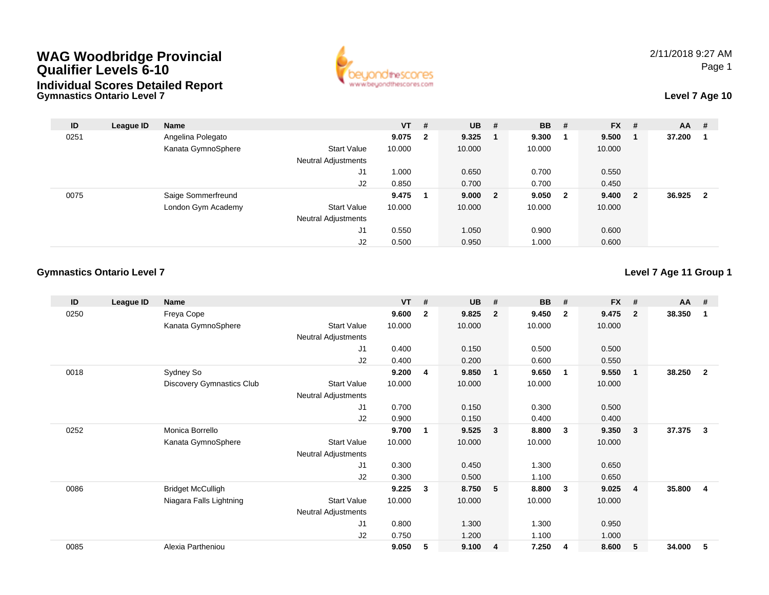# **WAG Woodbridge Provincial Qualifier Levels 6-10**





| ID   | League ID | <b>Name</b>        |                            | $VT$ #  | $UB$ #  | <b>BB</b> | - #                     | <b>FX</b> | #                       | <b>AA</b> | -#                      |
|------|-----------|--------------------|----------------------------|---------|---------|-----------|-------------------------|-----------|-------------------------|-----------|-------------------------|
| 0251 |           | Angelina Polegato  |                            | 9.075 2 | 9.325   | 9.300     |                         | 9.500     | -1                      | 37.200    |                         |
|      |           | Kanata GymnoSphere | <b>Start Value</b>         | 10.000  | 10.000  | 10.000    |                         | 10.000    |                         |           |                         |
|      |           |                    | <b>Neutral Adjustments</b> |         |         |           |                         |           |                         |           |                         |
|      |           |                    | J1                         | 1.000   | 0.650   | 0.700     |                         | 0.550     |                         |           |                         |
|      |           |                    | J2                         | 0.850   | 0.700   | 0.700     |                         | 0.450     |                         |           |                         |
| 0075 |           | Saige Sommerfreund |                            | 9.475   | 9.000 2 | 9.050     | $\overline{\mathbf{2}}$ | 9.400     | $\overline{\mathbf{2}}$ | 36.925    | $\overline{\mathbf{2}}$ |
|      |           | London Gym Academy | <b>Start Value</b>         | 10.000  | 10.000  | 10.000    |                         | 10.000    |                         |           |                         |
|      |           |                    | <b>Neutral Adjustments</b> |         |         |           |                         |           |                         |           |                         |
|      |           |                    | J1                         | 0.550   | 1.050   | 0.900     |                         | 0.600     |                         |           |                         |
|      |           |                    | J2                         | 0.500   | 0.950   | 1.000     |                         | 0.600     |                         |           |                         |

#### **Gymnastics Ontario Level 7**

#### **Level 7 Age 11 Group 1**

| ID   | League ID | <b>Name</b>               |                            | <b>VT</b> | #            | <b>UB</b> | #                       | <b>BB</b> | #                       | <b>FX</b> | #                       | <b>AA</b> | #              |
|------|-----------|---------------------------|----------------------------|-----------|--------------|-----------|-------------------------|-----------|-------------------------|-----------|-------------------------|-----------|----------------|
| 0250 |           | Freya Cope                |                            | 9.600     | $\mathbf{2}$ | 9.825     | $\mathbf{2}$            | 9.450     | $\overline{2}$          | 9.475     | $\mathbf{2}$            | 38.350    | -1             |
|      |           | Kanata GymnoSphere        | <b>Start Value</b>         | 10.000    |              | 10.000    |                         | 10.000    |                         | 10.000    |                         |           |                |
|      |           |                           | Neutral Adjustments        |           |              |           |                         |           |                         |           |                         |           |                |
|      |           |                           | J1                         | 0.400     |              | 0.150     |                         | 0.500     |                         | 0.500     |                         |           |                |
|      |           |                           | J2                         | 0.400     |              | 0.200     |                         | 0.600     |                         | 0.550     |                         |           |                |
| 0018 |           | Sydney So                 |                            | 9.200     | 4            | 9.850     | $\mathbf{1}$            | 9.650     | $\overline{\mathbf{1}}$ | 9.550     | $\overline{\mathbf{1}}$ | 38.250    | $\overline{2}$ |
|      |           | Discovery Gymnastics Club | <b>Start Value</b>         | 10.000    |              | 10.000    |                         | 10.000    |                         | 10.000    |                         |           |                |
|      |           |                           | <b>Neutral Adjustments</b> |           |              |           |                         |           |                         |           |                         |           |                |
|      |           |                           | J1                         | 0.700     |              | 0.150     |                         | 0.300     |                         | 0.500     |                         |           |                |
|      |           |                           | J2                         | 0.900     |              | 0.150     |                         | 0.400     |                         | 0.400     |                         |           |                |
| 0252 |           | Monica Borrello           |                            | 9.700     | 1            | 9.525     | $\mathbf{3}$            | 8.800     | 3                       | 9.350     | -3                      | 37.375    | 3              |
|      |           | Kanata GymnoSphere        | <b>Start Value</b>         | 10.000    |              | 10.000    |                         | 10.000    |                         | 10.000    |                         |           |                |
|      |           |                           | Neutral Adjustments        |           |              |           |                         |           |                         |           |                         |           |                |
|      |           |                           | J <sub>1</sub>             | 0.300     |              | 0.450     |                         | 1.300     |                         | 0.650     |                         |           |                |
|      |           |                           | J2                         | 0.300     |              | 0.500     |                         | 1.100     |                         | 0.650     |                         |           |                |
| 0086 |           | <b>Bridget McCulligh</b>  |                            | 9.225     | $\mathbf{3}$ | 8.750     | 5                       | 8.800     | $\mathbf{3}$            | 9.025     | -4                      | 35.800    | 4              |
|      |           | Niagara Falls Lightning   | <b>Start Value</b>         | 10.000    |              | 10.000    |                         | 10.000    |                         | 10.000    |                         |           |                |
|      |           |                           | <b>Neutral Adjustments</b> |           |              |           |                         |           |                         |           |                         |           |                |
|      |           |                           | J1                         | 0.800     |              | 1.300     |                         | 1.300     |                         | 0.950     |                         |           |                |
|      |           |                           | J2                         | 0.750     |              | 1.200     |                         | 1.100     |                         | 1.000     |                         |           |                |
| 0085 |           | Alexia Partheniou         |                            | 9.050     | 5            | 9.100     | $\overline{\mathbf{4}}$ | 7.250     | -4                      | 8.600     | 5                       | 34.000    | 5              |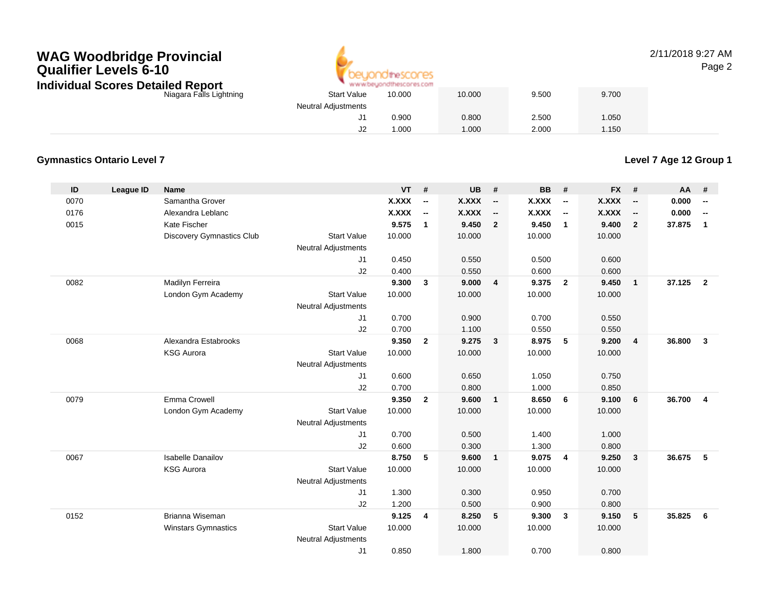

2/11/2018 9:27 AMPage 2

| lual Scores Detailed Report |                            | www.beyondthescores.com |        |       |       |
|-----------------------------|----------------------------|-------------------------|--------|-------|-------|
| Niagara Falls Lightning     | <b>Start Value</b>         | 10.000                  | 10.000 | 9.500 | 9.700 |
|                             | <b>Neutral Adjustments</b> |                         |        |       |       |
|                             |                            | 0.900                   | 0.800  | 2.500 | 1.050 |
|                             | ∠ل                         | 000.1                   | 1.000  | 2.000 | .150  |

### **Gymnastics Ontario Level 7**

**Level 7 Age 12 Group 1**

| ID   | League ID | <b>Name</b>                |                            | $VT$ #       |                          | UB           | #                        | <b>BB</b>    | #                        | <b>FX</b>    | #                        | AA     | #                        |
|------|-----------|----------------------------|----------------------------|--------------|--------------------------|--------------|--------------------------|--------------|--------------------------|--------------|--------------------------|--------|--------------------------|
| 0070 |           | Samantha Grover            |                            | X.XXX        | $\overline{\phantom{a}}$ | X.XXX        | $\overline{\phantom{a}}$ | <b>X.XXX</b> | $\overline{\phantom{a}}$ | <b>X.XXX</b> | $\overline{\phantom{a}}$ | 0.000  | $\overline{\phantom{a}}$ |
| 0176 |           | Alexandra Leblanc          |                            | <b>X.XXX</b> | $\overline{\phantom{a}}$ | <b>X.XXX</b> | $\overline{\phantom{a}}$ | <b>X.XXX</b> | $\overline{\phantom{a}}$ | <b>X.XXX</b> | $\overline{\phantom{a}}$ | 0.000  | $\overline{\phantom{a}}$ |
| 0015 |           | Kate Fischer               |                            | 9.575        | $\overline{1}$           | 9.450        | $\overline{2}$           | 9.450        | $\overline{1}$           | 9.400        | $\overline{2}$           | 37.875 | $\mathbf{1}$             |
|      |           | Discovery Gymnastics Club  | <b>Start Value</b>         | 10.000       |                          | 10.000       |                          | 10.000       |                          | 10.000       |                          |        |                          |
|      |           |                            | <b>Neutral Adjustments</b> |              |                          |              |                          |              |                          |              |                          |        |                          |
|      |           |                            | J <sub>1</sub>             | 0.450        |                          | 0.550        |                          | 0.500        |                          | 0.600        |                          |        |                          |
|      |           |                            | J2                         | 0.400        |                          | 0.550        |                          | 0.600        |                          | 0.600        |                          |        |                          |
| 0082 |           | Madilyn Ferreira           |                            | 9.300        | $\mathbf{3}$             | 9.000        | $\overline{\mathbf{4}}$  | 9.375        | $\overline{\mathbf{2}}$  | 9.450        | $\overline{1}$           | 37.125 | $\overline{2}$           |
|      |           | London Gym Academy         | <b>Start Value</b>         | 10.000       |                          | 10.000       |                          | 10.000       |                          | 10.000       |                          |        |                          |
|      |           |                            | <b>Neutral Adjustments</b> |              |                          |              |                          |              |                          |              |                          |        |                          |
|      |           |                            | J1                         | 0.700        |                          | 0.900        |                          | 0.700        |                          | 0.550        |                          |        |                          |
|      |           |                            | J2                         | 0.700        |                          | 1.100        |                          | 0.550        |                          | 0.550        |                          |        |                          |
| 0068 |           | Alexandra Estabrooks       |                            | 9.350        | $\overline{2}$           | 9.275        | $\mathbf{3}$             | 8.975        | 5                        | 9.200        | $\overline{4}$           | 36.800 | $\overline{\mathbf{3}}$  |
|      |           | <b>KSG Aurora</b>          | <b>Start Value</b>         | 10.000       |                          | 10.000       |                          | 10.000       |                          | 10.000       |                          |        |                          |
|      |           |                            | <b>Neutral Adjustments</b> |              |                          |              |                          |              |                          |              |                          |        |                          |
|      |           |                            | J1                         | 0.600        |                          | 0.650        |                          | 1.050        |                          | 0.750        |                          |        |                          |
|      |           |                            | J2                         | 0.700        |                          | 0.800        |                          | 1.000        |                          | 0.850        |                          |        |                          |
| 0079 |           | Emma Crowell               |                            | 9.350        | $\overline{2}$           | 9.600        | $\mathbf{1}$             | 8.650        | 6                        | 9.100        | 6                        | 36.700 | $\overline{4}$           |
|      |           | London Gym Academy         | <b>Start Value</b>         | 10.000       |                          | 10.000       |                          | 10.000       |                          | 10.000       |                          |        |                          |
|      |           |                            | <b>Neutral Adjustments</b> |              |                          |              |                          |              |                          |              |                          |        |                          |
|      |           |                            | J1                         | 0.700        |                          | 0.500        |                          | 1.400        |                          | 1.000        |                          |        |                          |
|      |           |                            | J2                         | 0.600        |                          | 0.300        |                          | 1.300        |                          | 0.800        |                          |        |                          |
| 0067 |           | Isabelle Danailov          |                            | 8.750        | 5                        | 9.600        | $\overline{1}$           | 9.075        | $\overline{4}$           | 9.250        | $\overline{\mathbf{3}}$  | 36.675 | 5                        |
|      |           | <b>KSG Aurora</b>          | <b>Start Value</b>         | 10.000       |                          | 10.000       |                          | 10.000       |                          | 10.000       |                          |        |                          |
|      |           |                            | <b>Neutral Adjustments</b> |              |                          |              |                          |              |                          |              |                          |        |                          |
|      |           |                            | J <sub>1</sub>             | 1.300        |                          | 0.300        |                          | 0.950        |                          | 0.700        |                          |        |                          |
|      |           |                            | J2                         | 1.200        |                          | 0.500        |                          | 0.900        |                          | 0.800        |                          |        |                          |
| 0152 |           | Brianna Wiseman            |                            | 9.125        | 4                        | 8.250        | 5                        | 9.300        | $\mathbf{3}$             | 9.150        | 5                        | 35.825 | 6                        |
|      |           | <b>Winstars Gymnastics</b> | <b>Start Value</b>         | 10.000       |                          | 10.000       |                          | 10.000       |                          | 10.000       |                          |        |                          |
|      |           |                            | <b>Neutral Adjustments</b> |              |                          |              |                          |              |                          |              |                          |        |                          |
|      |           |                            | J1                         | 0.850        |                          | 1.800        |                          | 0.700        |                          | 0.800        |                          |        |                          |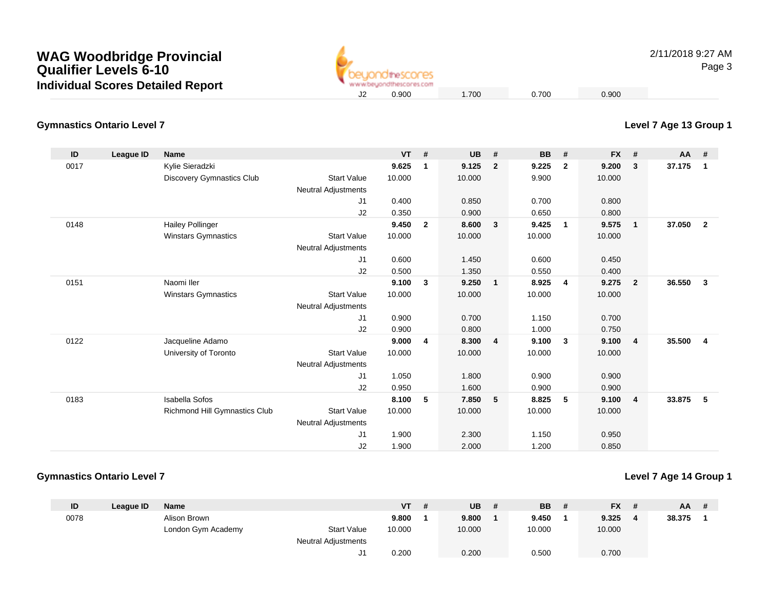

2/11/2018 9:27 AMPage 3

**Level 7 Age 13 Group 1**

#### **Gymnastics Ontario Level 7**

| ID   | <b>League ID</b> | <b>Name</b>                      |                            | <b>VT</b> | #              | <b>UB</b> | #              | <b>BB</b> | #            | <b>FX</b> | #                       | AA     | #              |
|------|------------------|----------------------------------|----------------------------|-----------|----------------|-----------|----------------|-----------|--------------|-----------|-------------------------|--------|----------------|
| 0017 |                  | Kylie Sieradzki                  |                            | 9.625     | $\mathbf 1$    | 9.125     | $\overline{2}$ | 9.225     | $\mathbf{2}$ | 9.200     | 3                       | 37.175 | $\overline{1}$ |
|      |                  | <b>Discovery Gymnastics Club</b> | <b>Start Value</b>         | 10.000    |                | 10.000    |                | 9.900     |              | 10.000    |                         |        |                |
|      |                  |                                  | <b>Neutral Adjustments</b> |           |                |           |                |           |              |           |                         |        |                |
|      |                  |                                  | J1                         | 0.400     |                | 0.850     |                | 0.700     |              | 0.800     |                         |        |                |
|      |                  |                                  | J2                         | 0.350     |                | 0.900     |                | 0.650     |              | 0.800     |                         |        |                |
| 0148 |                  | <b>Hailey Pollinger</b>          |                            | 9.450     | $\overline{2}$ | 8.600     | 3              | 9.425     | $\mathbf{1}$ | 9.575     | $\mathbf{1}$            | 37.050 | $\overline{2}$ |
|      |                  | Winstars Gymnastics              | <b>Start Value</b>         | 10.000    |                | 10.000    |                | 10.000    |              | 10.000    |                         |        |                |
|      |                  |                                  | <b>Neutral Adjustments</b> |           |                |           |                |           |              |           |                         |        |                |
|      |                  |                                  | J <sub>1</sub>             | 0.600     |                | 1.450     |                | 0.600     |              | 0.450     |                         |        |                |
|      |                  |                                  | J2                         | 0.500     |                | 1.350     |                | 0.550     |              | 0.400     |                         |        |                |
| 0151 |                  | Naomi Iler                       |                            | 9.100     | $\mathbf{3}$   | 9.250     | $\overline{1}$ | 8.925     | 4            | 9.275     | $\overline{2}$          | 36.550 | 3              |
|      |                  | Winstars Gymnastics              | <b>Start Value</b>         | 10.000    |                | 10.000    |                | 10.000    |              | 10.000    |                         |        |                |
|      |                  |                                  | <b>Neutral Adjustments</b> |           |                |           |                |           |              |           |                         |        |                |
|      |                  |                                  | J <sub>1</sub>             | 0.900     |                | 0.700     |                | 1.150     |              | 0.700     |                         |        |                |
|      |                  |                                  | J2                         | 0.900     |                | 0.800     |                | 1.000     |              | 0.750     |                         |        |                |
| 0122 |                  | Jacqueline Adamo                 |                            | 9.000     | $\overline{4}$ | 8.300     | $\overline{4}$ | 9.100     | 3            | 9.100     | 4                       | 35.500 | $\overline{4}$ |
|      |                  | University of Toronto            | <b>Start Value</b>         | 10.000    |                | 10.000    |                | 10.000    |              | 10.000    |                         |        |                |
|      |                  |                                  | <b>Neutral Adjustments</b> |           |                |           |                |           |              |           |                         |        |                |
|      |                  |                                  | J <sub>1</sub>             | 1.050     |                | 1.800     |                | 0.900     |              | 0.900     |                         |        |                |
|      |                  |                                  | J2                         | 0.950     |                | 1.600     |                | 0.900     |              | 0.900     |                         |        |                |
| 0183 |                  | <b>Isabella Sofos</b>            |                            | 8.100     | 5              | 7.850     | 5              | 8.825     | 5            | 9.100     | $\overline{\mathbf{4}}$ | 33.875 | - 5            |
|      |                  | Richmond Hill Gymnastics Club    | <b>Start Value</b>         | 10.000    |                | 10.000    |                | 10.000    |              | 10.000    |                         |        |                |
|      |                  |                                  | <b>Neutral Adjustments</b> |           |                |           |                |           |              |           |                         |        |                |
|      |                  |                                  | J1                         | 1.900     |                | 2.300     |                | 1.150     |              | 0.950     |                         |        |                |
|      |                  |                                  | J2                         | 1.900     |                | 2.000     |                | 1.200     |              | 0.850     |                         |        |                |

### **Gymnastics Ontario Level 7**

#### **Level 7 Age 14 Group 1**

| ID   | League ID | Name               |                            | VT     | # | <b>UB</b> | <b>BB</b> | <b>FX</b> | AA     | # |
|------|-----------|--------------------|----------------------------|--------|---|-----------|-----------|-----------|--------|---|
| 0078 |           | Alison Brown       |                            | 9.800  |   | 9.800     | 9.450     | 9.325     | 38.375 |   |
|      |           | London Gym Academy | <b>Start Value</b>         | 10.000 |   | 10.000    | 10.000    | 10.000    |        |   |
|      |           |                    | <b>Neutral Adjustments</b> |        |   |           |           |           |        |   |
|      |           |                    | J1.                        | 0.200  |   | 0.200     | 0.500     | 0.700     |        |   |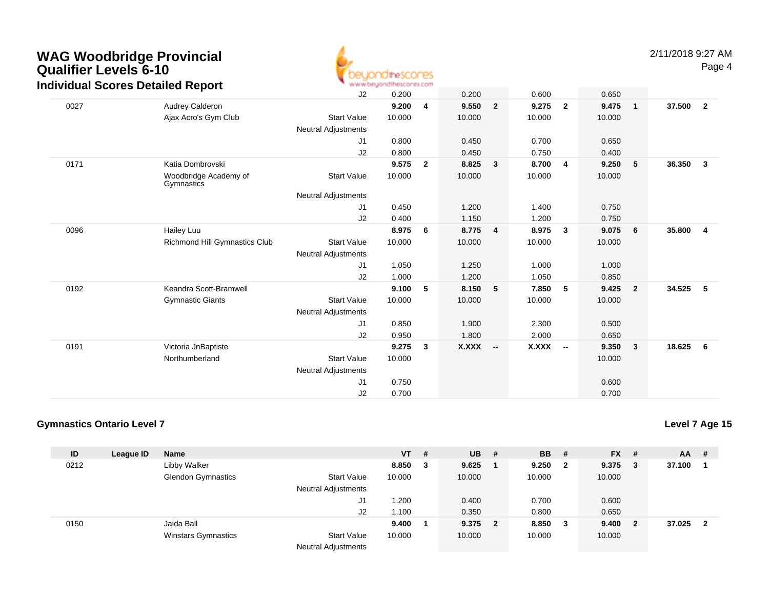# **WAG Woodbridge Provincial Qualifier Levels 6-10**



Page 4

|      | Individual Scores Detailed Report   |                            | www.beyondthescores.com |                |              |                          |        |                          |        |                         |        |                |
|------|-------------------------------------|----------------------------|-------------------------|----------------|--------------|--------------------------|--------|--------------------------|--------|-------------------------|--------|----------------|
|      |                                     | J2                         | 0.200                   |                | 0.200        |                          | 0.600  |                          | 0.650  |                         |        |                |
| 0027 | Audrey Calderon                     |                            | 9.200                   | 4              | 9.550        | $\overline{2}$           | 9.275  | $\overline{2}$           | 9.475  | $\blacksquare$          | 37.500 | $\overline{2}$ |
|      | Ajax Acro's Gym Club                | <b>Start Value</b>         | 10.000                  |                | 10.000       |                          | 10.000 |                          | 10.000 |                         |        |                |
|      |                                     | <b>Neutral Adjustments</b> |                         |                |              |                          |        |                          |        |                         |        |                |
|      |                                     | J <sub>1</sub>             | 0.800                   |                | 0.450        |                          | 0.700  |                          | 0.650  |                         |        |                |
|      |                                     | J2                         | 0.800                   |                | 0.450        |                          | 0.750  |                          | 0.400  |                         |        |                |
| 0171 | Katia Dombrovski                    |                            | 9.575                   | $\overline{2}$ | 8.825        | 3                        | 8.700  | 4                        | 9.250  | 5                       | 36.350 | $\mathbf{3}$   |
|      | Woodbridge Academy of<br>Gymnastics | <b>Start Value</b>         | 10.000                  |                | 10.000       |                          | 10.000 |                          | 10.000 |                         |        |                |
|      |                                     | <b>Neutral Adjustments</b> |                         |                |              |                          |        |                          |        |                         |        |                |
|      |                                     | J1                         | 0.450                   |                | 1.200        |                          | 1.400  |                          | 0.750  |                         |        |                |
|      |                                     | J2                         | 0.400                   |                | 1.150        |                          | 1.200  |                          | 0.750  |                         |        |                |
| 0096 | <b>Hailey Luu</b>                   |                            | 8.975                   | 6              | 8.775        | 4                        | 8.975  | 3                        | 9.075  | 6                       | 35.800 | $\overline{4}$ |
|      | Richmond Hill Gymnastics Club       | <b>Start Value</b>         | 10.000                  |                | 10.000       |                          | 10.000 |                          | 10.000 |                         |        |                |
|      |                                     | <b>Neutral Adjustments</b> |                         |                |              |                          |        |                          |        |                         |        |                |
|      |                                     | J1                         | 1.050                   |                | 1.250        |                          | 1.000  |                          | 1.000  |                         |        |                |
|      |                                     | J2                         | 1.000                   |                | 1.200        |                          | 1.050  |                          | 0.850  |                         |        |                |
| 0192 | Keandra Scott-Bramwell              |                            | 9.100                   | 5              | 8.150        | 5                        | 7.850  | 5                        | 9.425  | $\overline{\mathbf{2}}$ | 34.525 | - 5            |
|      | <b>Gymnastic Giants</b>             | <b>Start Value</b>         | 10.000                  |                | 10.000       |                          | 10.000 |                          | 10.000 |                         |        |                |
|      |                                     | <b>Neutral Adjustments</b> |                         |                |              |                          |        |                          |        |                         |        |                |
|      |                                     | J <sub>1</sub>             | 0.850                   |                | 1.900        |                          | 2.300  |                          | 0.500  |                         |        |                |
|      |                                     | J <sub>2</sub>             | 0.950                   |                | 1.800        |                          | 2.000  |                          | 0.650  |                         |        |                |
| 0191 | Victoria JnBaptiste                 |                            | 9.275                   | $\mathbf{3}$   | <b>X.XXX</b> | $\overline{\phantom{a}}$ | X.XXX  | $\overline{\phantom{a}}$ | 9.350  | $\mathbf{3}$            | 18.625 | - 6            |
|      | Northumberland                      | <b>Start Value</b>         | 10.000                  |                |              |                          |        |                          | 10.000 |                         |        |                |
|      |                                     | <b>Neutral Adjustments</b> |                         |                |              |                          |        |                          |        |                         |        |                |
|      |                                     | J1                         | 0.750                   |                |              |                          |        |                          | 0.600  |                         |        |                |
|      |                                     | J2                         | 0.700                   |                |              |                          |        |                          | 0.700  |                         |        |                |

#### **Gymnastics Ontario Level 7**

**Level 7 Age 15**

| ID   | League ID | <b>Name</b>                |                            | $VT$ # |   | <b>UB</b> | # | <b>BB</b> | #   | <b>FX</b> | -# | $AA$ # |   |
|------|-----------|----------------------------|----------------------------|--------|---|-----------|---|-----------|-----|-----------|----|--------|---|
| 0212 |           | Libby Walker               |                            | 8.850  | 3 | 9.625     |   | 9.250     | - 2 | 9.375     | -3 | 37.100 |   |
|      |           | <b>Glendon Gymnastics</b>  | <b>Start Value</b>         | 10.000 |   | 10.000    |   | 10.000    |     | 10.000    |    |        |   |
|      |           |                            | <b>Neutral Adjustments</b> |        |   |           |   |           |     |           |    |        |   |
|      |           |                            | J1                         | .200   |   | 0.400     |   | 0.700     |     | 0.600     |    |        |   |
|      |           |                            | J2                         | 1.100  |   | 0.350     |   | 0.800     |     | 0.650     |    |        |   |
| 0150 |           | Jaida Ball                 |                            | 9.400  |   | 9.375 2   |   | 8.850     | - 3 | 9.400     | 2  | 37.025 | 2 |
|      |           | <b>Winstars Gymnastics</b> | <b>Start Value</b>         | 10.000 |   | 10.000    |   | 10.000    |     | 10.000    |    |        |   |
|      |           |                            | <b>Neutral Adjustments</b> |        |   |           |   |           |     |           |    |        |   |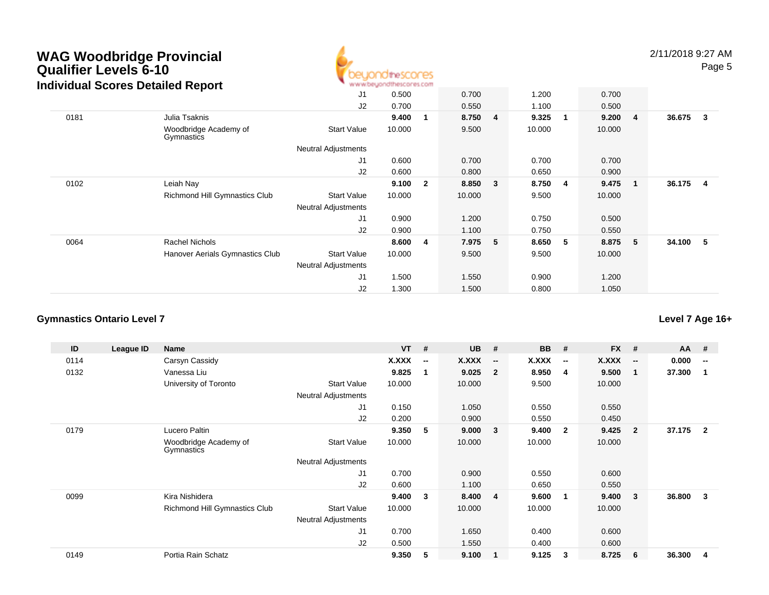

2/11/2018 9:27 AMPage 5

|      | an naaan 8001 00 Botanoa Roport     |                            |        |              |         |                         |        |                |        |                |        |    |
|------|-------------------------------------|----------------------------|--------|--------------|---------|-------------------------|--------|----------------|--------|----------------|--------|----|
|      |                                     | J <sub>1</sub>             | 0.500  |              | 0.700   |                         | 1.200  |                | 0.700  |                |        |    |
|      |                                     | J2                         | 0.700  |              | 0.550   |                         | 1.100  |                | 0.500  |                |        |    |
| 0181 | Julia Tsaknis                       |                            | 9.400  |              | 8.750 4 |                         | 9.325  | -1             | 9.200  | $\overline{4}$ | 36.675 | -3 |
|      | Woodbridge Academy of<br>Gymnastics | <b>Start Value</b>         | 10.000 |              | 9.500   |                         | 10.000 |                | 10.000 |                |        |    |
|      |                                     | <b>Neutral Adjustments</b> |        |              |         |                         |        |                |        |                |        |    |
|      |                                     | J <sub>1</sub>             | 0.600  |              | 0.700   |                         | 0.700  |                | 0.700  |                |        |    |
|      |                                     | J2                         | 0.600  |              | 0.800   |                         | 0.650  |                | 0.900  |                |        |    |
| 0102 | Leiah Nay                           |                            | 9.100  | $\mathbf{2}$ | 8.850   | $\overline{\mathbf{3}}$ | 8.750  | $\overline{4}$ | 9.475  | -1             | 36.175 | 4  |
|      | Richmond Hill Gymnastics Club       | <b>Start Value</b>         | 10.000 |              | 10.000  |                         | 9.500  |                | 10.000 |                |        |    |
|      |                                     | <b>Neutral Adjustments</b> |        |              |         |                         |        |                |        |                |        |    |
|      |                                     | J1                         | 0.900  |              | 1.200   |                         | 0.750  |                | 0.500  |                |        |    |
|      |                                     | J2                         | 0.900  |              | 1.100   |                         | 0.750  |                | 0.550  |                |        |    |
| 0064 | <b>Rachel Nichols</b>               |                            | 8.600  | 4            | 7.975   | -5                      | 8.650  | - 5            | 8.875  | - 5            | 34.100 | -5 |
|      | Hanover Aerials Gymnastics Club     | <b>Start Value</b>         | 10.000 |              | 9.500   |                         | 9.500  |                | 10.000 |                |        |    |
|      |                                     | <b>Neutral Adjustments</b> |        |              |         |                         |        |                |        |                |        |    |
|      |                                     | J1                         | 1.500  |              | 1.550   |                         | 0.900  |                | 1.200  |                |        |    |
|      |                                     | J2                         | 1.300  |              | 1.500   |                         | 0.800  |                | 1.050  |                |        |    |

#### **Gymnastics Ontario Level 7**

| ID   | League ID | <b>Name</b>                         |                            | <b>VT</b> | #                        | <b>UB</b> | #                        | <b>BB</b>    | #                        | <b>FX</b>    | #                        | <b>AA</b> | #                        |
|------|-----------|-------------------------------------|----------------------------|-----------|--------------------------|-----------|--------------------------|--------------|--------------------------|--------------|--------------------------|-----------|--------------------------|
| 0114 |           | Carsyn Cassidy                      |                            | X.XXX     | $\overline{\phantom{a}}$ | X.XXX     | $\overline{\phantom{a}}$ | <b>X.XXX</b> | $\overline{\phantom{a}}$ | <b>X.XXX</b> | $\overline{\phantom{a}}$ | 0.000     | $\overline{\phantom{a}}$ |
| 0132 |           | Vanessa Liu                         |                            | 9.825     | 1                        | 9.025     | $\overline{2}$           | 8.950        | 4                        | 9.500        | 1                        | 37.300    |                          |
|      |           | University of Toronto               | <b>Start Value</b>         | 10.000    |                          | 10.000    |                          | 9.500        |                          | 10.000       |                          |           |                          |
|      |           |                                     | <b>Neutral Adjustments</b> |           |                          |           |                          |              |                          |              |                          |           |                          |
|      |           |                                     | J1                         | 0.150     |                          | 1.050     |                          | 0.550        |                          | 0.550        |                          |           |                          |
|      |           |                                     | J2                         | 0.200     |                          | 0.900     |                          | 0.550        |                          | 0.450        |                          |           |                          |
| 0179 |           | Lucero Paltin                       |                            | 9.350     | 5                        | 9.000     | $\mathbf{3}$             | 9.400        | $\overline{\mathbf{2}}$  | 9.425        | $\overline{2}$           | 37.175    | $\overline{2}$           |
|      |           | Woodbridge Academy of<br>Gymnastics | <b>Start Value</b>         | 10.000    |                          | 10.000    |                          | 10.000       |                          | 10.000       |                          |           |                          |
|      |           |                                     | <b>Neutral Adjustments</b> |           |                          |           |                          |              |                          |              |                          |           |                          |
|      |           |                                     | J1                         | 0.700     |                          | 0.900     |                          | 0.550        |                          | 0.600        |                          |           |                          |
|      |           |                                     | J <sub>2</sub>             | 0.600     |                          | 1.100     |                          | 0.650        |                          | 0.550        |                          |           |                          |
| 0099 |           | Kira Nishidera                      |                            | 9.400     | 3                        | 8.400     | $\overline{4}$           | 9.600        | -1                       | 9.400        | $\mathbf{3}$             | 36.800    | 3                        |
|      |           | Richmond Hill Gymnastics Club       | <b>Start Value</b>         | 10.000    |                          | 10.000    |                          | 10.000       |                          | 10.000       |                          |           |                          |
|      |           |                                     | <b>Neutral Adjustments</b> |           |                          |           |                          |              |                          |              |                          |           |                          |
|      |           |                                     | J1                         | 0.700     |                          | 1.650     |                          | 0.400        |                          | 0.600        |                          |           |                          |
|      |           |                                     | J2                         | 0.500     |                          | 1.550     |                          | 0.400        |                          | 0.600        |                          |           |                          |
| 0149 |           | Portia Rain Schatz                  |                            | 9.350     | 5                        | 9.100     | -1                       | 9.125        | 3                        | 8.725        | 6                        | 36.300    | 4                        |
|      |           |                                     |                            |           |                          |           |                          |              |                          |              |                          |           |                          |

**Level 7 Age 16+**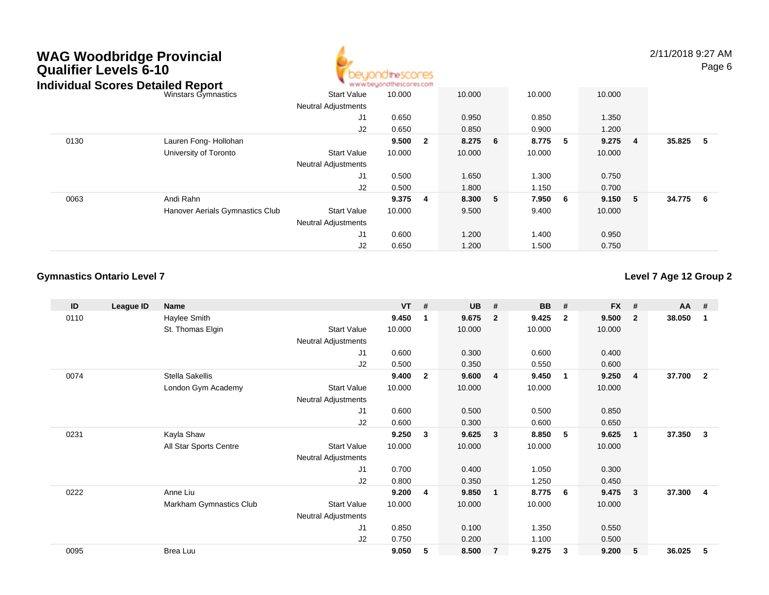## **WAG Woodbridge Provincial Qualifier Levels 6-10**



2/11/2018 9:27 AMPage 6

| <b>Individual Scores Detailed Report</b> |                                 |                            | כם וטטפיניו וטובעט<br>www.beuondthescores.com |              |        |     |        |    |                 |    |        |     |
|------------------------------------------|---------------------------------|----------------------------|-----------------------------------------------|--------------|--------|-----|--------|----|-----------------|----|--------|-----|
|                                          | Winstars Gymnastics             | <b>Start Value</b>         | 10.000                                        |              | 10.000 |     | 10.000 |    | 10.000          |    |        |     |
|                                          |                                 | <b>Neutral Adjustments</b> |                                               |              |        |     |        |    |                 |    |        |     |
|                                          |                                 | J1                         | 0.650                                         |              | 0.950  |     | 0.850  |    | 1.350           |    |        |     |
|                                          |                                 | J2                         | 0.650                                         |              | 0.850  |     | 0.900  |    | 1.200           |    |        |     |
| 0130                                     | Lauren Fong- Hollohan           |                            | 9.500                                         | $\mathbf{2}$ | 8.275  | - 6 | 8.775  | 5  | $9.275 \quad 4$ |    | 35.825 | - 5 |
|                                          | University of Toronto           | <b>Start Value</b>         | 10.000                                        |              | 10.000 |     | 10.000 |    | 10.000          |    |        |     |
|                                          |                                 | <b>Neutral Adjustments</b> |                                               |              |        |     |        |    |                 |    |        |     |
|                                          |                                 | J1                         | 0.500                                         |              | 1.650  |     | 1.300  |    | 0.750           |    |        |     |
|                                          |                                 | J2                         | 0.500                                         |              | 1.800  |     | 1.150  |    | 0.700           |    |        |     |
| 0063                                     | Andi Rahn                       |                            | 9.375 4                                       |              | 8.300  | - 5 | 7.950  | -6 | 9.150           | -5 | 34.775 | - 6 |
|                                          | Hanover Aerials Gymnastics Club | <b>Start Value</b>         | 10.000                                        |              | 9.500  |     | 9.400  |    | 10.000          |    |        |     |
|                                          |                                 | <b>Neutral Adjustments</b> |                                               |              |        |     |        |    |                 |    |        |     |
|                                          |                                 | J <sub>1</sub>             | 0.600                                         |              | 1.200  |     | 1.400  |    | 0.950           |    |        |     |
|                                          |                                 | J <sub>2</sub>             | 0.650                                         |              | 1.200  |     | 1.500  |    | 0.750           |    |        |     |

#### **Gymnastics Ontario Level 7**

#### **Level 7 Age 12 Group 2**

| ID   | League ID | Name                    |                            | $VT$ # |                | <b>UB</b> | #              | <b>BB</b> | #              | <b>FX</b> | #              | <b>AA</b> | #                       |
|------|-----------|-------------------------|----------------------------|--------|----------------|-----------|----------------|-----------|----------------|-----------|----------------|-----------|-------------------------|
| 0110 |           | Haylee Smith            |                            | 9.450  | 1              | 9.675     | $\overline{2}$ | 9.425     | $\overline{2}$ | 9.500     | $\overline{2}$ | 38.050    | -1                      |
|      |           | St. Thomas Elgin        | <b>Start Value</b>         | 10.000 |                | 10.000    |                | 10.000    |                | 10.000    |                |           |                         |
|      |           |                         | Neutral Adjustments        |        |                |           |                |           |                |           |                |           |                         |
|      |           |                         | J <sub>1</sub>             | 0.600  |                | 0.300     |                | 0.600     |                | 0.400     |                |           |                         |
|      |           |                         | J <sub>2</sub>             | 0.500  |                | 0.350     |                | 0.550     |                | 0.600     |                |           |                         |
| 0074 |           | <b>Stella Sakellis</b>  |                            | 9.400  | $\overline{2}$ | 9.600     | $\overline{4}$ | 9.450     | $\mathbf{1}$   | 9.250     | -4             | 37.700    | $\overline{2}$          |
|      |           | London Gym Academy      | <b>Start Value</b>         | 10.000 |                | 10.000    |                | 10.000    |                | 10.000    |                |           |                         |
|      |           |                         | Neutral Adjustments        |        |                |           |                |           |                |           |                |           |                         |
|      |           |                         | J <sub>1</sub>             | 0.600  |                | 0.500     |                | 0.500     |                | 0.850     |                |           |                         |
|      |           |                         | J2                         | 0.600  |                | 0.300     |                | 0.600     |                | 0.650     |                |           |                         |
| 0231 |           | Kayla Shaw              |                            | 9.250  | 3              | 9.625     | $\mathbf{3}$   | 8.850     | 5              | 9.625     | $\overline{1}$ | 37.350    | 3                       |
|      |           | All Star Sports Centre  | <b>Start Value</b>         | 10.000 |                | 10.000    |                | 10.000    |                | 10.000    |                |           |                         |
|      |           |                         | Neutral Adjustments        |        |                |           |                |           |                |           |                |           |                         |
|      |           |                         | J <sub>1</sub>             | 0.700  |                | 0.400     |                | 1.050     |                | 0.300     |                |           |                         |
|      |           |                         | J2                         | 0.800  |                | 0.350     |                | 1.250     |                | 0.450     |                |           |                         |
| 0222 |           | Anne Liu                |                            | 9.200  | 4              | 9.850     | $\mathbf{1}$   | 8.775     | -6             | 9.475     | - 3            | 37.300    | $\overline{\mathbf{4}}$ |
|      |           | Markham Gymnastics Club | <b>Start Value</b>         | 10.000 |                | 10.000    |                | 10.000    |                | 10.000    |                |           |                         |
|      |           |                         | <b>Neutral Adjustments</b> |        |                |           |                |           |                |           |                |           |                         |
|      |           |                         | J <sub>1</sub>             | 0.850  |                | 0.100     |                | 1.350     |                | 0.550     |                |           |                         |
|      |           |                         | J2                         | 0.750  |                | 0.200     |                | 1.100     |                | 0.500     |                |           |                         |
| 0095 |           | Brea Luu                |                            | 9.050  | 5              | 8.500     | $\overline{7}$ | 9.275     | 3              | 9.200     | 5              | 36.025    | 5                       |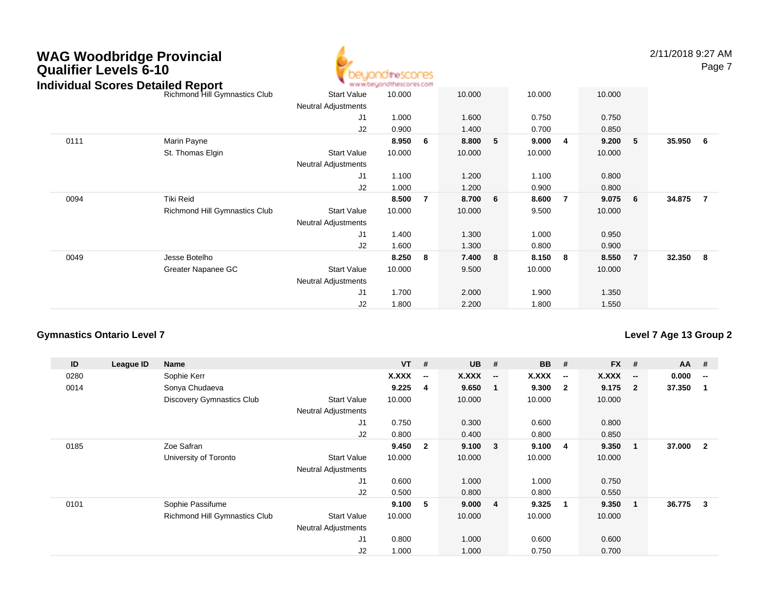

2/11/2018 9:27 AM

Page 7

|      | \dividual Scores Detailed Report |                            | www.beyondthescores.com |                |        |   |        |                |        |                |          |                |
|------|----------------------------------|----------------------------|-------------------------|----------------|--------|---|--------|----------------|--------|----------------|----------|----------------|
|      | Richmond Hill Gymnastics Club    | <b>Start Value</b>         | 10.000                  |                | 10.000 |   | 10.000 |                | 10.000 |                |          |                |
|      |                                  | <b>Neutral Adjustments</b> |                         |                |        |   |        |                |        |                |          |                |
|      |                                  | J <sub>1</sub>             | 1.000                   |                | 1.600  |   | 0.750  |                | 0.750  |                |          |                |
|      |                                  | J2                         | 0.900                   |                | 1.400  |   | 0.700  |                | 0.850  |                |          |                |
| 0111 | Marin Payne                      |                            | 8.950                   | 6              | 8.800  | 5 | 9.000  | 4              | 9.200  | 5              | 35.950 6 |                |
|      | St. Thomas Elgin                 | <b>Start Value</b>         | 10.000                  |                | 10.000 |   | 10.000 |                | 10.000 |                |          |                |
|      |                                  | <b>Neutral Adjustments</b> |                         |                |        |   |        |                |        |                |          |                |
|      |                                  | J <sub>1</sub>             | 1.100                   |                | 1.200  |   | 1.100  |                | 0.800  |                |          |                |
|      |                                  | J2                         | 1.000                   |                | 1.200  |   | 0.900  |                | 0.800  |                |          |                |
| 0094 | Tiki Reid                        |                            | 8.500                   | $\overline{7}$ | 8.700  | 6 | 8.600  | $\overline{7}$ | 9.075  | 6              | 34.875   | $\overline{7}$ |
|      | Richmond Hill Gymnastics Club    | <b>Start Value</b>         | 10.000                  |                | 10.000 |   | 9.500  |                | 10.000 |                |          |                |
|      |                                  | <b>Neutral Adjustments</b> |                         |                |        |   |        |                |        |                |          |                |
|      |                                  | J <sub>1</sub>             | 1.400                   |                | 1.300  |   | 1.000  |                | 0.950  |                |          |                |
|      |                                  | J2                         | 1.600                   |                | 1.300  |   | 0.800  |                | 0.900  |                |          |                |
| 0049 | Jesse Botelho                    |                            | 8.250                   | 8              | 7.400  | 8 | 8.150  | 8              | 8.550  | $\overline{7}$ | 32.350 8 |                |
|      | Greater Napanee GC               | <b>Start Value</b>         | 10.000                  |                | 9.500  |   | 10.000 |                | 10.000 |                |          |                |
|      |                                  | <b>Neutral Adjustments</b> |                         |                |        |   |        |                |        |                |          |                |
|      |                                  | J <sub>1</sub>             | 1.700                   |                | 2.000  |   | 1.900  |                | 1.350  |                |          |                |
|      |                                  | J2                         | 1.800                   |                | 2.200  |   | 1.800  |                | 1.550  |                |          |                |

#### **Gymnastics Ontario Level 7**

**Level 7 Age 13 Group 2**

| ID   | League ID | Name                             |                            | <b>VT</b>    | #                        | <b>UB</b>    | -#                       | <b>BB</b>    | #                        | <b>FX</b>    | #                        | $AA$ # |                          |
|------|-----------|----------------------------------|----------------------------|--------------|--------------------------|--------------|--------------------------|--------------|--------------------------|--------------|--------------------------|--------|--------------------------|
| 0280 |           | Sophie Kerr                      |                            | <b>X.XXX</b> | $\overline{\phantom{a}}$ | <b>X.XXX</b> | $\overline{\phantom{a}}$ | <b>X.XXX</b> | $\overline{\phantom{a}}$ | <b>X.XXX</b> | $\overline{\phantom{a}}$ | 0.000  | $\overline{\phantom{a}}$ |
| 0014 |           | Sonya Chudaeva                   |                            | 9.225        | 4                        | 9.650        | - 1                      | 9.300        | $\mathbf{2}$             | 9.175        | $\mathbf{2}$             | 37.350 |                          |
|      |           | <b>Discovery Gymnastics Club</b> | <b>Start Value</b>         | 10.000       |                          | 10.000       |                          | 10.000       |                          | 10.000       |                          |        |                          |
|      |           |                                  | <b>Neutral Adjustments</b> |              |                          |              |                          |              |                          |              |                          |        |                          |
|      |           |                                  | J1                         | 0.750        |                          | 0.300        |                          | 0.600        |                          | 0.800        |                          |        |                          |
|      |           |                                  | J2                         | 0.800        |                          | 0.400        |                          | 0.800        |                          | 0.850        |                          |        |                          |
| 0185 |           | Zoe Safran                       |                            | 9.450        | $\overline{\mathbf{2}}$  | 9.100        | $\overline{\mathbf{3}}$  | 9.100        | -4                       | 9.350        |                          | 37.000 | $\overline{2}$           |
|      |           | University of Toronto            | <b>Start Value</b>         | 10.000       |                          | 10.000       |                          | 10.000       |                          | 10.000       |                          |        |                          |
|      |           |                                  | <b>Neutral Adjustments</b> |              |                          |              |                          |              |                          |              |                          |        |                          |
|      |           |                                  | J1                         | 0.600        |                          | 1.000        |                          | 1.000        |                          | 0.750        |                          |        |                          |
|      |           |                                  | J2                         | 0.500        |                          | 0.800        |                          | 0.800        |                          | 0.550        |                          |        |                          |
| 0101 |           | Sophie Passifume                 |                            | 9.100        | 5                        | 9.000        | $\overline{4}$           | 9.325        | $\mathbf{1}$             | 9.350        |                          | 36.775 | 3                        |
|      |           | Richmond Hill Gymnastics Club    | <b>Start Value</b>         | 10.000       |                          | 10.000       |                          | 10.000       |                          | 10.000       |                          |        |                          |
|      |           |                                  | <b>Neutral Adjustments</b> |              |                          |              |                          |              |                          |              |                          |        |                          |
|      |           |                                  | J1                         | 0.800        |                          | 1.000        |                          | 0.600        |                          | 0.600        |                          |        |                          |
|      |           |                                  | J2                         | 1.000        |                          | 1.000        |                          | 0.750        |                          | 0.700        |                          |        |                          |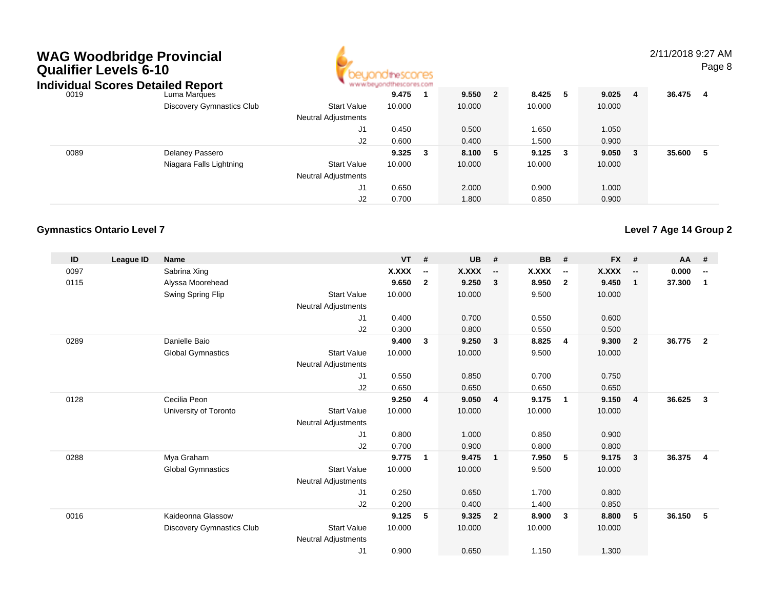### **WAG Woodbridge Provincial Qualifier Levels 6-10** $\overline{\phantom{a}}$



2/11/2018 9:27 AMPage 8

| Individual Scores Detailed Report |      | www.beyondthescores.com   |                            |        |     |        |              |             |   |        |                |        |    |
|-----------------------------------|------|---------------------------|----------------------------|--------|-----|--------|--------------|-------------|---|--------|----------------|--------|----|
|                                   | 0019 | Luma Margues              |                            | 9.475  |     | 9.550  | $\mathbf{2}$ | 8.425       | 5 | 9.025  | $\overline{4}$ | 36.475 | -4 |
|                                   |      | Discovery Gymnastics Club | <b>Start Value</b>         | 10.000 |     | 10.000 |              | 10.000      |   | 10.000 |                |        |    |
|                                   |      |                           | <b>Neutral Adjustments</b> |        |     |        |              |             |   |        |                |        |    |
|                                   |      |                           | J1                         | 0.450  |     | 0.500  |              | 1.650       |   | 1.050  |                |        |    |
|                                   |      |                           | J2                         | 0.600  |     | 0.400  |              | 1.500       |   | 0.900  |                |        |    |
|                                   | 0089 | Delaney Passero           |                            | 9.325  | - 3 | 8.100  | 5            | $9.125 \t3$ |   | 9.050  | - 3            | 35.600 | -5 |
|                                   |      | Niagara Falls Lightning   | <b>Start Value</b>         | 10.000 |     | 10.000 |              | 10.000      |   | 10.000 |                |        |    |
|                                   |      |                           | <b>Neutral Adjustments</b> |        |     |        |              |             |   |        |                |        |    |
|                                   |      |                           | J1                         | 0.650  |     | 2.000  |              | 0.900       |   | 1.000  |                |        |    |
|                                   |      |                           | J2                         | 0.700  |     | 1.800  |              | 0.850       |   | 0.900  |                |        |    |

#### **Gymnastics Ontario Level 7**

**Level 7 Age 14 Group 2**

| ID   | League ID | <b>Name</b>                      |                            | <b>VT</b> | #                        | <b>UB</b> | #                        | <b>BB</b> | #                        | <b>FX</b> | #                        | <b>AA</b> | #                        |
|------|-----------|----------------------------------|----------------------------|-----------|--------------------------|-----------|--------------------------|-----------|--------------------------|-----------|--------------------------|-----------|--------------------------|
| 0097 |           | Sabrina Xing                     |                            | X.XXX     | $\overline{\phantom{a}}$ | X.XXX     | $\overline{\phantom{a}}$ | X.XXX     | $\overline{\phantom{a}}$ | X.XXX     | $\overline{\phantom{a}}$ | 0.000     | $\overline{\phantom{a}}$ |
| 0115 |           | Alyssa Moorehead                 |                            | 9.650     | $\overline{2}$           | 9.250     | $\mathbf{3}$             | 8.950     | $\overline{2}$           | 9.450     | $\mathbf{1}$             | 37.300    | $\mathbf 1$              |
|      |           | Swing Spring Flip                | <b>Start Value</b>         | 10.000    |                          | 10.000    |                          | 9.500     |                          | 10.000    |                          |           |                          |
|      |           |                                  | <b>Neutral Adjustments</b> |           |                          |           |                          |           |                          |           |                          |           |                          |
|      |           |                                  | J1                         | 0.400     |                          | 0.700     |                          | 0.550     |                          | 0.600     |                          |           |                          |
|      |           |                                  | J2                         | 0.300     |                          | 0.800     |                          | 0.550     |                          | 0.500     |                          |           |                          |
| 0289 |           | Danielle Baio                    |                            | 9.400     | $\mathbf{3}$             | 9.250     | $\overline{\mathbf{3}}$  | 8.825     | $\overline{4}$           | 9.300     | $\overline{2}$           | 36.775    | $\overline{2}$           |
|      |           | <b>Global Gymnastics</b>         | <b>Start Value</b>         | 10.000    |                          | 10.000    |                          | 9.500     |                          | 10.000    |                          |           |                          |
|      |           |                                  | Neutral Adjustments        |           |                          |           |                          |           |                          |           |                          |           |                          |
|      |           |                                  | J <sub>1</sub>             | 0.550     |                          | 0.850     |                          | 0.700     |                          | 0.750     |                          |           |                          |
|      |           |                                  | J2                         | 0.650     |                          | 0.650     |                          | 0.650     |                          | 0.650     |                          |           |                          |
| 0128 |           | Cecilia Peon                     |                            | 9.250     | 4                        | 9.050     | $\overline{4}$           | 9.175     | $\overline{\mathbf{1}}$  | 9.150     | 4                        | 36.625    | $\mathbf{3}$             |
|      |           | University of Toronto            | <b>Start Value</b>         | 10.000    |                          | 10.000    |                          | 10.000    |                          | 10.000    |                          |           |                          |
|      |           |                                  | Neutral Adjustments        |           |                          |           |                          |           |                          |           |                          |           |                          |
|      |           |                                  | J <sub>1</sub>             | 0.800     |                          | 1.000     |                          | 0.850     |                          | 0.900     |                          |           |                          |
|      |           |                                  | J <sub>2</sub>             | 0.700     |                          | 0.900     |                          | 0.800     |                          | 0.800     |                          |           |                          |
| 0288 |           | Mya Graham                       |                            | 9.775     | $\mathbf{1}$             | 9.475     | $\overline{1}$           | 7.950     | 5                        | 9.175     | $\mathbf{3}$             | 36.375    | $\overline{4}$           |
|      |           | <b>Global Gymnastics</b>         | <b>Start Value</b>         | 10.000    |                          | 10.000    |                          | 9.500     |                          | 10.000    |                          |           |                          |
|      |           |                                  | <b>Neutral Adjustments</b> |           |                          |           |                          |           |                          |           |                          |           |                          |
|      |           |                                  | J1                         | 0.250     |                          | 0.650     |                          | 1.700     |                          | 0.800     |                          |           |                          |
|      |           |                                  | J <sub>2</sub>             | 0.200     |                          | 0.400     |                          | 1.400     |                          | 0.850     |                          |           |                          |
| 0016 |           | Kaideonna Glassow                |                            | 9.125     | 5                        | 9.325     | $\overline{\mathbf{2}}$  | 8.900     | -3                       | 8.800     | 5                        | 36.150    | 5                        |
|      |           | <b>Discovery Gymnastics Club</b> | <b>Start Value</b>         | 10.000    |                          | 10.000    |                          | 10.000    |                          | 10.000    |                          |           |                          |
|      |           |                                  | Neutral Adjustments        |           |                          |           |                          |           |                          |           |                          |           |                          |
|      |           |                                  | J <sub>1</sub>             | 0.900     |                          | 0.650     |                          | 1.150     |                          | 1.300     |                          |           |                          |